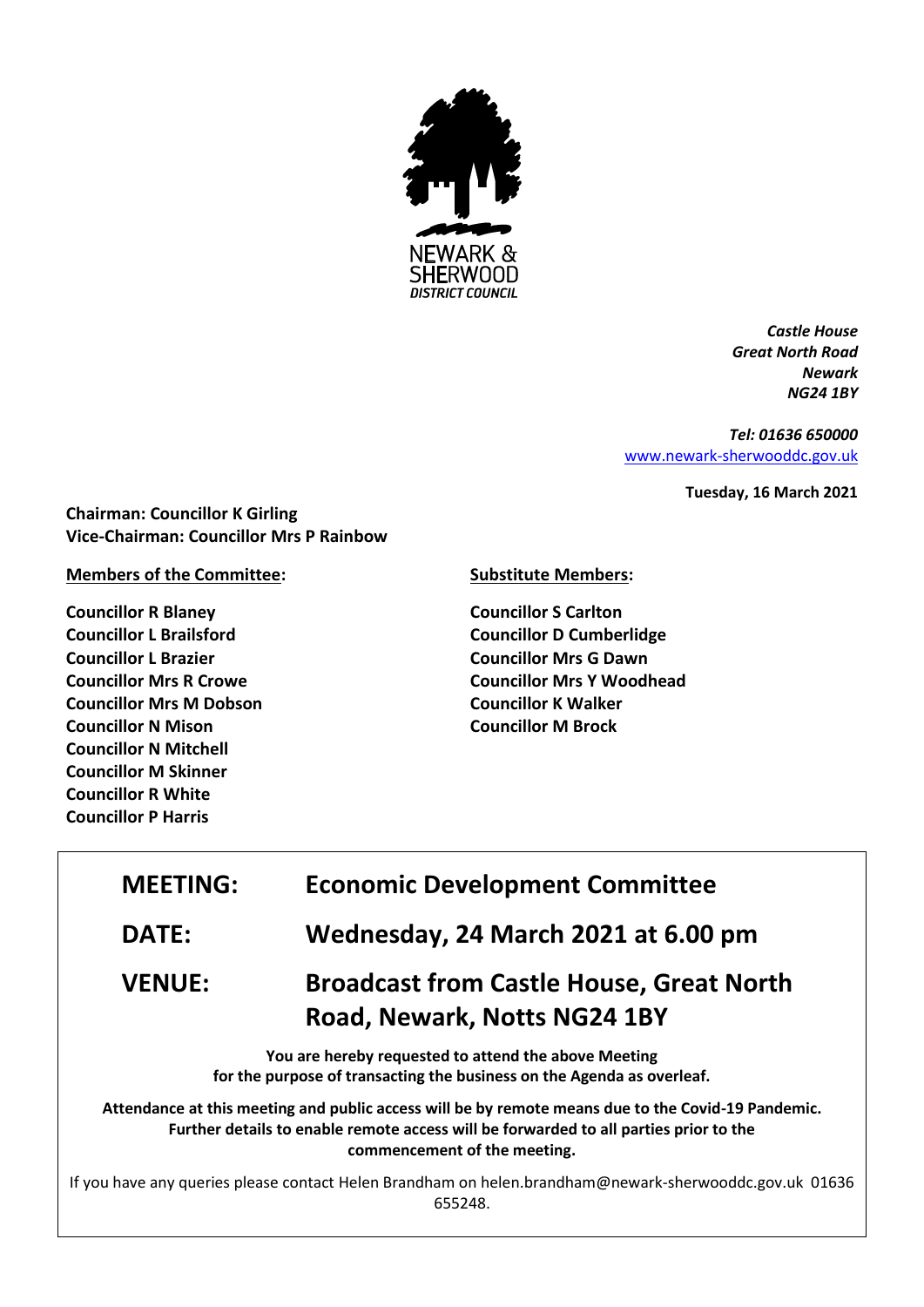

*Castle House Great North Road Newark NG24 1BY*

*Tel: 01636 650000* [www.newark-sherwooddc.gov.uk](http://www.newark-sherwooddc.gov.uk/)

**Tuesday, 16 March 2021**

**Chairman: Councillor K Girling Vice-Chairman: Councillor Mrs P Rainbow**

**Members of the Committee:**

**Councillor R Blaney Councillor L Brailsford Councillor L Brazier Councillor Mrs R Crowe Councillor Mrs M Dobson Councillor N Mison Councillor N Mitchell Councillor M Skinner Councillor R White Councillor P Harris**

**Substitute Members:**

**Councillor S Carlton Councillor D Cumberlidge Councillor Mrs G Dawn Councillor Mrs Y Woodhead Councillor K Walker Councillor M Brock**

| <b>MEETING:</b>                                                                                                                | <b>Economic Development Committee</b>                                                                                                                                                                                       |  |
|--------------------------------------------------------------------------------------------------------------------------------|-----------------------------------------------------------------------------------------------------------------------------------------------------------------------------------------------------------------------------|--|
| <b>DATE:</b>                                                                                                                   | Wednesday, 24 March 2021 at 6.00 pm                                                                                                                                                                                         |  |
| <b>VENUE:</b>                                                                                                                  | <b>Broadcast from Castle House, Great North</b><br>Road, Newark, Notts NG24 1BY                                                                                                                                             |  |
| You are hereby requested to attend the above Meeting<br>for the purpose of transacting the business on the Agenda as overleaf. |                                                                                                                                                                                                                             |  |
|                                                                                                                                | Attendance at this meeting and public access will be by remote means due to the Covid-19 Pandemic.<br>Further details to enable remote access will be forwarded to all parties prior to the<br>commencement of the meeting. |  |
| If you have any queries please contact Helen Brandham on helen.brandham@newark-sherwooddc.gov.uk 01636<br>655248.              |                                                                                                                                                                                                                             |  |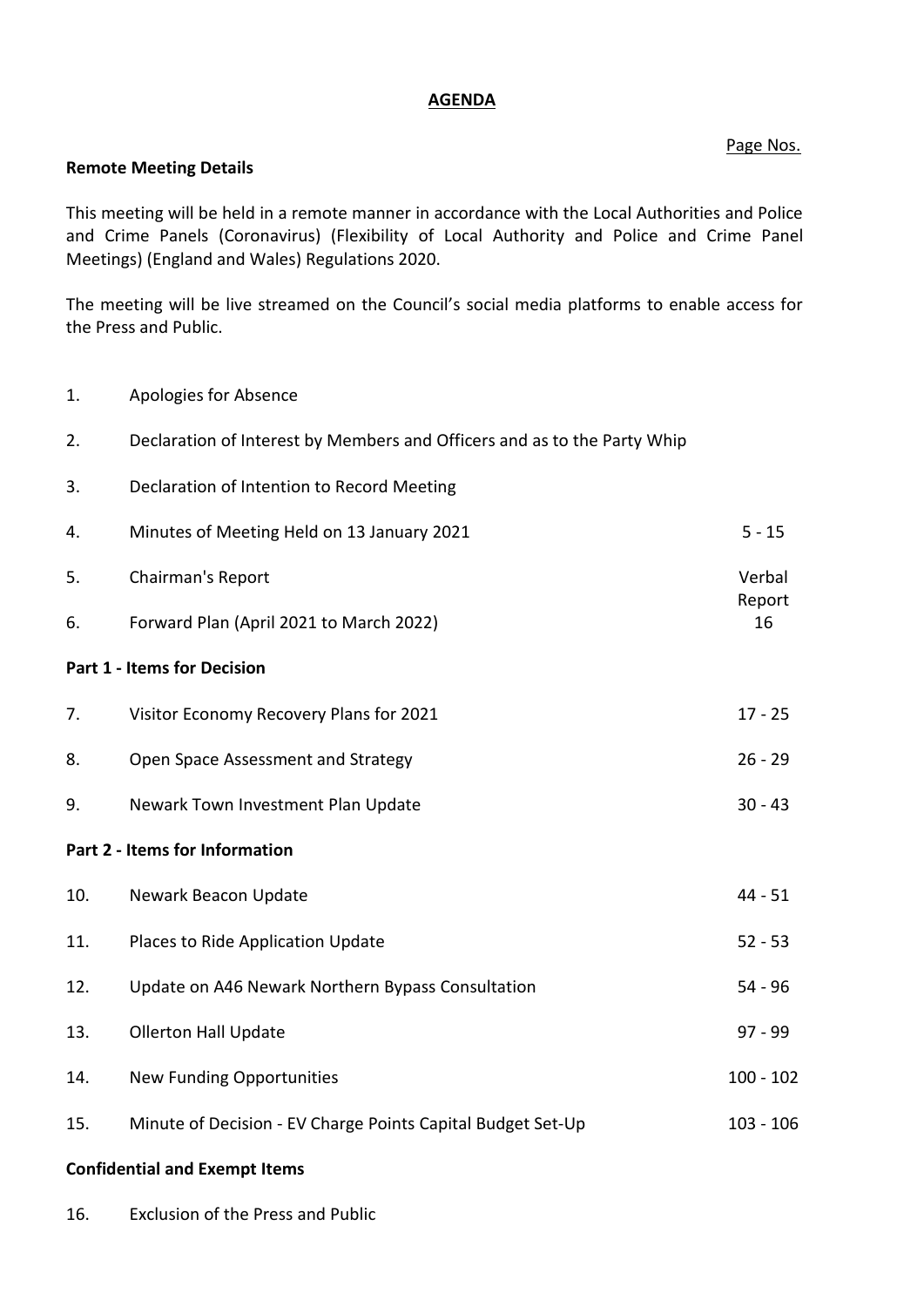## **AGENDA**

## Page Nos.

## **Remote Meeting Details**

This meeting will be held in a remote manner in accordance with the Local Authorities and Police and Crime Panels (Coronavirus) (Flexibility of Local Authority and Police and Crime Panel Meetings) (England and Wales) Regulations 2020.

The meeting will be live streamed on the Council's social media platforms to enable access for the Press and Public.

1. Apologies for Absence

| 2.                                 | Declaration of Interest by Members and Officers and as to the Party Whip |              |  |
|------------------------------------|--------------------------------------------------------------------------|--------------|--|
| 3.                                 | Declaration of Intention to Record Meeting                               |              |  |
| 4.                                 | Minutes of Meeting Held on 13 January 2021                               | $5 - 15$     |  |
| 5.                                 | Chairman's Report                                                        |              |  |
| 6.                                 | Forward Plan (April 2021 to March 2022)                                  | Report<br>16 |  |
| <b>Part 1 - Items for Decision</b> |                                                                          |              |  |
| 7.                                 | Visitor Economy Recovery Plans for 2021                                  | $17 - 25$    |  |
| 8.                                 | Open Space Assessment and Strategy                                       | $26 - 29$    |  |
| 9.                                 | Newark Town Investment Plan Update                                       | $30 - 43$    |  |
| Part 2 - Items for Information     |                                                                          |              |  |
| 10.                                | Newark Beacon Update                                                     | $44 - 51$    |  |
| 11.                                | Places to Ride Application Update                                        | $52 - 53$    |  |
| 12.                                | Update on A46 Newark Northern Bypass Consultation                        | $54 - 96$    |  |
| 13.                                | <b>Ollerton Hall Update</b>                                              | $97 - 99$    |  |
| 14.                                | <b>New Funding Opportunities</b>                                         | $100 - 102$  |  |
| 15.                                | Minute of Decision - EV Charge Points Capital Budget Set-Up              | $103 - 106$  |  |
|                                    |                                                                          |              |  |

## **Confidential and Exempt Items**

16. Exclusion of the Press and Public